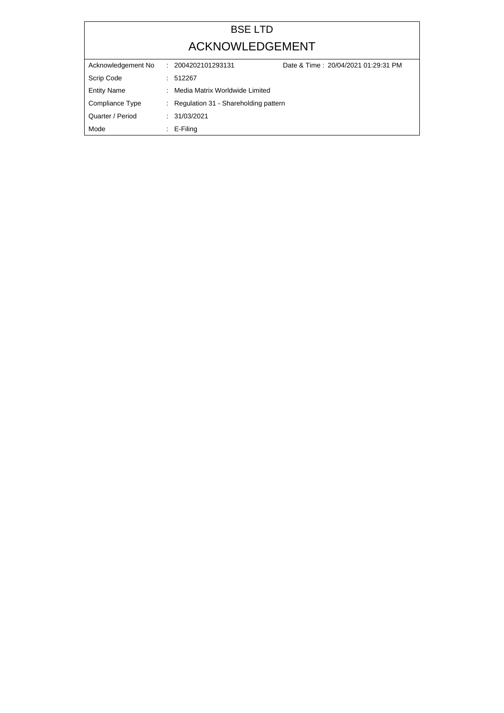## BSE LTD ACKNOWLEDGEMENT

| Acknowledgement No | Date & Time: 20/04/2021 01:29:31 PM<br>: 2004202101293131 |  |
|--------------------|-----------------------------------------------------------|--|
| Scrip Code         | : 512267                                                  |  |
| <b>Entity Name</b> | : Media Matrix Worldwide Limited                          |  |
| Compliance Type    | : Regulation 31 - Shareholding pattern                    |  |
| Quarter / Period   | : 31/03/2021                                              |  |
| Mode               | $\therefore$ E-Filing                                     |  |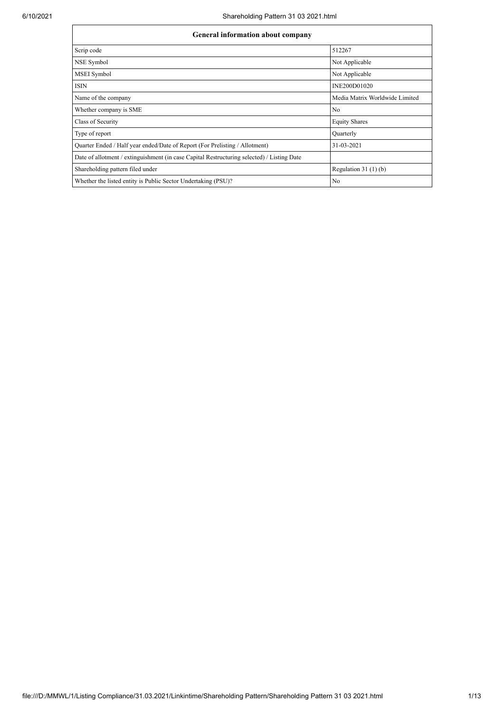| General information about company |  |  |  |
|-----------------------------------|--|--|--|
|-----------------------------------|--|--|--|

| OCHCLAI HIIOI MAUON ADOUL COMPANY                                                          |                                |  |  |  |  |  |  |
|--------------------------------------------------------------------------------------------|--------------------------------|--|--|--|--|--|--|
| Scrip code                                                                                 | 512267                         |  |  |  |  |  |  |
| NSE Symbol                                                                                 | Not Applicable                 |  |  |  |  |  |  |
| <b>MSEI</b> Symbol                                                                         | Not Applicable                 |  |  |  |  |  |  |
| <b>ISIN</b>                                                                                | INE200D01020                   |  |  |  |  |  |  |
| Name of the company                                                                        | Media Matrix Worldwide Limited |  |  |  |  |  |  |
| Whether company is SME                                                                     | No                             |  |  |  |  |  |  |
| Class of Security                                                                          | <b>Equity Shares</b>           |  |  |  |  |  |  |
| Type of report                                                                             | Quarterly                      |  |  |  |  |  |  |
| Quarter Ended / Half year ended/Date of Report (For Prelisting / Allotment)                | 31-03-2021                     |  |  |  |  |  |  |
| Date of allotment / extinguishment (in case Capital Restructuring selected) / Listing Date |                                |  |  |  |  |  |  |
| Shareholding pattern filed under                                                           | Regulation $31(1)(b)$          |  |  |  |  |  |  |
| Whether the listed entity is Public Sector Undertaking (PSU)?                              | No                             |  |  |  |  |  |  |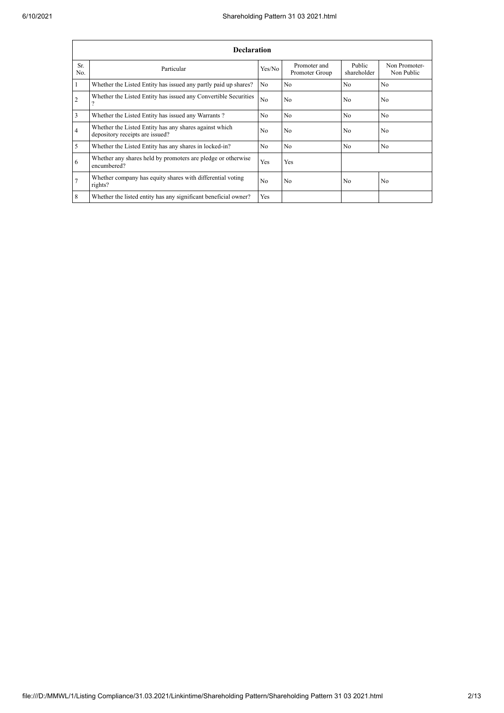|                | <b>Declaration</b>                                                                        |                |                                |                       |                             |  |  |  |
|----------------|-------------------------------------------------------------------------------------------|----------------|--------------------------------|-----------------------|-----------------------------|--|--|--|
| Sr.<br>No.     | Particular                                                                                | Yes/No         | Promoter and<br>Promoter Group | Public<br>shareholder | Non Promoter-<br>Non Public |  |  |  |
|                | Whether the Listed Entity has issued any partly paid up shares?                           | No.            | N <sub>0</sub>                 | N <sub>0</sub>        | N <sub>0</sub>              |  |  |  |
| $\overline{2}$ | Whether the Listed Entity has issued any Convertible Securities                           | No             | N <sub>o</sub>                 | No                    | N <sub>o</sub>              |  |  |  |
| 3              | Whether the Listed Entity has issued any Warrants?                                        | N <sub>0</sub> | N <sub>0</sub>                 | N <sub>0</sub>        | N <sub>0</sub>              |  |  |  |
| $\overline{4}$ | Whether the Listed Entity has any shares against which<br>depository receipts are issued? | No             | N <sub>o</sub>                 | No                    | N <sub>o</sub>              |  |  |  |
| 5              | Whether the Listed Entity has any shares in locked-in?                                    | N <sub>o</sub> | N <sub>0</sub>                 | N <sub>0</sub>        | N <sub>0</sub>              |  |  |  |
| 6              | Whether any shares held by promoters are pledge or otherwise<br>encumbered?               | Yes            | Yes                            |                       |                             |  |  |  |
|                | Whether company has equity shares with differential voting<br>rights?                     | N <sub>0</sub> | N <sub>0</sub>                 | N <sub>0</sub>        | N <sub>0</sub>              |  |  |  |
| 8              | Whether the listed entity has any significant beneficial owner?                           | <b>Yes</b>     |                                |                       |                             |  |  |  |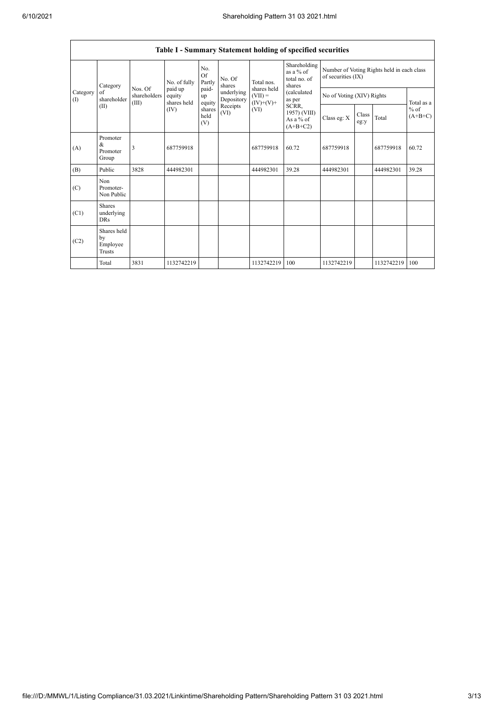7

| Table I - Summary Statement holding of specified securities |                                           |                                  |                                  |                       |                          |                                                               |                                                                                                                                         |                                                                  |               |            |                     |
|-------------------------------------------------------------|-------------------------------------------|----------------------------------|----------------------------------|-----------------------|--------------------------|---------------------------------------------------------------|-----------------------------------------------------------------------------------------------------------------------------------------|------------------------------------------------------------------|---------------|------------|---------------------|
|                                                             | Category                                  |                                  | No. of fully                     | No.<br>Of<br>Partly   | No. Of<br>shares         | Total nos.<br>shares held<br>$(VII) =$<br>$(IV)+(V)+$<br>(VI) | Shareholding<br>as a % of<br>total no. of<br>shares<br><i>(calculated</i><br>as per<br>SCRR,<br>1957) (VIII)<br>As a % of<br>$(A+B+C2)$ | Number of Voting Rights held in each class<br>of securities (IX) |               |            |                     |
| Category<br>of<br>(1)<br>(II)                               | shareholder                               | Nos. Of<br>shareholders<br>(III) | paid up<br>equity<br>shares held | paid-<br>up<br>equity | underlying<br>Depository |                                                               |                                                                                                                                         | No of Voting (XIV) Rights                                        |               |            | Total as a          |
|                                                             |                                           |                                  | (IV)                             | shares<br>held<br>(V) | Receipts<br>(VI)         |                                                               |                                                                                                                                         | Class eg: X                                                      | Class<br>eg:y | Total      | $%$ of<br>$(A+B+C)$ |
| (A)                                                         | Promoter<br>&<br>Promoter<br>Group        | 3                                | 687759918                        |                       |                          | 687759918                                                     | 60.72                                                                                                                                   | 687759918                                                        |               | 687759918  | 60.72               |
| (B)                                                         | Public                                    | 3828                             | 444982301                        |                       |                          | 444982301                                                     | 39.28                                                                                                                                   | 444982301                                                        |               | 444982301  | 39.28               |
| (C)                                                         | Non.<br>Promoter-<br>Non Public           |                                  |                                  |                       |                          |                                                               |                                                                                                                                         |                                                                  |               |            |                     |
| (C1)                                                        | <b>Shares</b><br>underlying<br><b>DRs</b> |                                  |                                  |                       |                          |                                                               |                                                                                                                                         |                                                                  |               |            |                     |
| (C2)                                                        | Shares held<br>by<br>Employee<br>Trusts   |                                  |                                  |                       |                          |                                                               |                                                                                                                                         |                                                                  |               |            |                     |
|                                                             | Total                                     | 3831                             | 1132742219                       |                       |                          | 1132742219                                                    | 100                                                                                                                                     | 1132742219                                                       |               | 1132742219 | 100                 |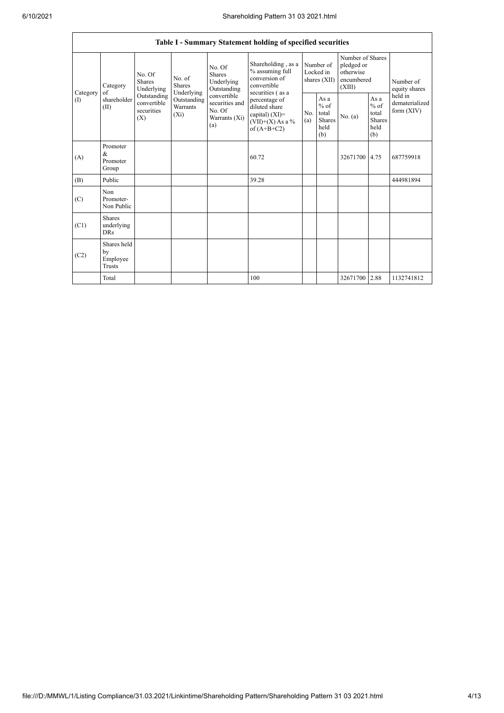|          | Table I - Summary Statement holding of specified securities |                                                    |                                                  |                                                                 |                                                                                           |                                        |                                                  |                                                                     |                                                         |                                           |
|----------|-------------------------------------------------------------|----------------------------------------------------|--------------------------------------------------|-----------------------------------------------------------------|-------------------------------------------------------------------------------------------|----------------------------------------|--------------------------------------------------|---------------------------------------------------------------------|---------------------------------------------------------|-------------------------------------------|
| Category | Category<br>of                                              | No. Of<br>No. of<br>Shares<br>Shares<br>Underlying |                                                  | No. Of<br><b>Shares</b><br>Underlying<br>Outstanding            | Shareholding, as a<br>% assuming full<br>conversion of<br>convertible<br>securities (as a | Number of<br>Locked in<br>shares (XII) |                                                  | Number of Shares<br>pledged or<br>otherwise<br>encumbered<br>(XIII) |                                                         | Number of<br>equity shares                |
| (I)      | shareholder<br>(II)                                         | Outstanding<br>convertible<br>securities<br>(X)    | Underlying<br>Outstanding<br>Warrants<br>$(X_i)$ | convertible<br>securities and<br>No. Of<br>Warrants (Xi)<br>(a) | percentage of<br>diluted share<br>capital) (XI)=<br>$(VII)+(X)$ As a %<br>of $(A+B+C2)$   | No.<br>(a)                             | As a<br>$%$ of<br>total<br>Shares<br>held<br>(b) | No. (a)                                                             | As a<br>$%$ of<br>total<br><b>Shares</b><br>held<br>(b) | held in<br>dematerialized<br>form $(XIV)$ |
| (A)      | Promoter<br>&<br>Promoter<br>Group                          |                                                    |                                                  |                                                                 | 60.72                                                                                     |                                        |                                                  | 32671700 4.75                                                       |                                                         | 687759918                                 |
| (B)      | Public                                                      |                                                    |                                                  |                                                                 | 39.28                                                                                     |                                        |                                                  |                                                                     |                                                         | 444981894                                 |
| (C)      | Non<br>Promoter-<br>Non Public                              |                                                    |                                                  |                                                                 |                                                                                           |                                        |                                                  |                                                                     |                                                         |                                           |
| (C1)     | Shares<br>underlying<br><b>DRs</b>                          |                                                    |                                                  |                                                                 |                                                                                           |                                        |                                                  |                                                                     |                                                         |                                           |
| (C2)     | Shares held<br>by<br>Employee<br>Trusts                     |                                                    |                                                  |                                                                 |                                                                                           |                                        |                                                  |                                                                     |                                                         |                                           |
|          | Total                                                       |                                                    |                                                  |                                                                 | 100                                                                                       |                                        |                                                  | 32671700 2.88                                                       |                                                         | 1132741812                                |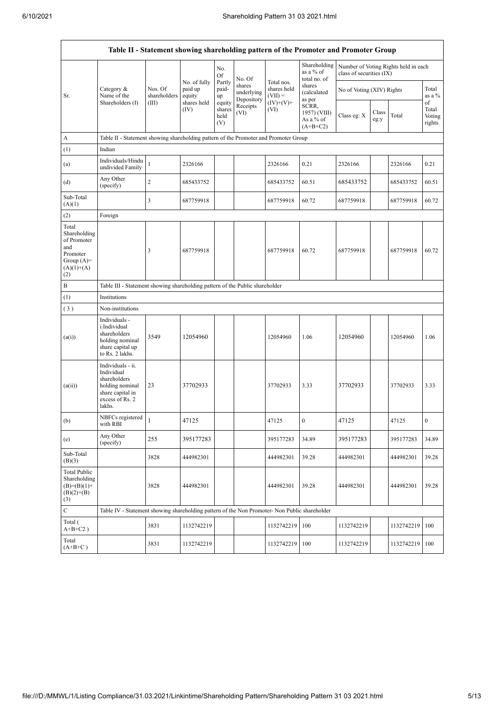|                                                                                                | Table II - Statement showing shareholding pattern of the Promoter and Promoter Group                                |                         |                                   |                                 |                                    |                                                       |                                                  |                           |               |                                      |                                 |
|------------------------------------------------------------------------------------------------|---------------------------------------------------------------------------------------------------------------------|-------------------------|-----------------------------------|---------------------------------|------------------------------------|-------------------------------------------------------|--------------------------------------------------|---------------------------|---------------|--------------------------------------|---------------------------------|
|                                                                                                |                                                                                                                     |                         |                                   | No.<br>Of                       | No. Of                             |                                                       | Shareholding<br>as a % of<br>total no. of        | class of securities (IX)  |               | Number of Voting Rights held in each |                                 |
| Sr.                                                                                            | Category &<br>Name of the                                                                                           | Nos. Of<br>shareholders | No. of fully<br>paid up<br>equity | Partly<br>paid-<br>up           | shares<br>underlying<br>Depository | Total nos.<br>shares held<br>$(VII) =$<br>$(IV)+(V)+$ | shares<br>(calculated<br>as per                  | No of Voting (XIV) Rights |               |                                      | Total<br>as a %                 |
|                                                                                                | Shareholders (I)                                                                                                    | (III)                   | shares held<br>(IV)               | equity<br>shares<br>held<br>(V) | Receipts<br>(VI)                   | (VI)                                                  | SCRR,<br>1957) (VIII)<br>As a % of<br>$(A+B+C2)$ | Class eg: X               | Class<br>eg:y | Total                                | of<br>Total<br>Voting<br>rights |
| A                                                                                              | Table II - Statement showing shareholding pattern of the Promoter and Promoter Group                                |                         |                                   |                                 |                                    |                                                       |                                                  |                           |               |                                      |                                 |
| (1)                                                                                            | Indian                                                                                                              |                         |                                   |                                 |                                    |                                                       |                                                  |                           |               |                                      |                                 |
| (a)                                                                                            | Individuals/Hindu<br>undivided Family                                                                               | $\mathbf{1}$            | 2326166                           |                                 |                                    | 2326166                                               | 0.21                                             | 2326166                   |               | 2326166                              | 0.21                            |
| (d)                                                                                            | Any Other<br>(specify)                                                                                              | $\sqrt{2}$              | 685433752                         |                                 |                                    | 685433752                                             | 60.51                                            | 685433752                 |               | 685433752                            | 60.51                           |
| Sub-Total<br>(A)(1)                                                                            |                                                                                                                     | 3                       | 687759918                         |                                 |                                    | 687759918                                             | 60.72                                            | 687759918                 |               | 687759918                            | 60.72                           |
| (2)                                                                                            | Foreign                                                                                                             |                         |                                   |                                 |                                    |                                                       |                                                  |                           |               |                                      |                                 |
| Total<br>Shareholding<br>of Promoter<br>and<br>Promoter<br>Group $(A)=$<br>$(A)(1)+(A)$<br>(2) |                                                                                                                     | 3                       | 687759918                         |                                 |                                    | 687759918                                             | 60.72                                            | 687759918                 |               | 687759918                            | 60.72                           |
| B                                                                                              | Table III - Statement showing shareholding pattern of the Public shareholder                                        |                         |                                   |                                 |                                    |                                                       |                                                  |                           |               |                                      |                                 |
| (1)                                                                                            | Institutions                                                                                                        |                         |                                   |                                 |                                    |                                                       |                                                  |                           |               |                                      |                                 |
| (3)                                                                                            | Non-institutions                                                                                                    |                         |                                   |                                 |                                    |                                                       |                                                  |                           |               |                                      |                                 |
| (a(i))                                                                                         | Individuals -<br>i.Individual<br>shareholders<br>holding nominal<br>share capital up<br>to Rs. 2 lakhs.             | 3549                    | 12054960                          |                                 |                                    | 12054960                                              | 1.06                                             | 12054960                  |               | 12054960                             | 1.06                            |
| (a(ii))                                                                                        | Individuals - ii.<br>Individual<br>shareholders<br>holding nominal<br>share capital in<br>excess of Rs. 2<br>lakhs. | 23                      | 37702933                          |                                 |                                    | 37702933                                              | 3.33                                             | 37702933                  |               | 37702933                             | 3.33                            |
| (b)                                                                                            | NBFCs registered<br>with RBI                                                                                        | $\overline{1}$          | 47125                             |                                 |                                    | 47125                                                 | $\bf{0}$                                         | 47125                     |               | 47125                                | $\boldsymbol{0}$                |
| (e)                                                                                            | Any Other<br>(specify)                                                                                              | 255                     | 395177283                         |                                 |                                    | 395177283                                             | 34.89                                            | 395177283                 |               | 395177283                            | 34.89                           |
| Sub-Total<br>(B)(3)                                                                            |                                                                                                                     | 3828                    | 444982301                         |                                 |                                    | 444982301                                             | 39.28                                            | 444982301                 |               | 444982301                            | 39.28                           |
| <b>Total Public</b><br>Shareholding<br>$(B)=(B)(1)+$<br>$(B)(2)+(B)$<br>(3)                    |                                                                                                                     | 3828                    | 444982301                         |                                 |                                    | 444982301                                             | 39.28                                            | 444982301                 |               | 444982301                            | 39.28                           |
| $\mathbf C$                                                                                    | Table IV - Statement showing shareholding pattern of the Non Promoter- Non Public shareholder                       |                         |                                   |                                 |                                    |                                                       |                                                  |                           |               |                                      |                                 |
| Total (<br>$A+B+C2$ )                                                                          |                                                                                                                     | 3831                    | 1132742219                        |                                 |                                    | 1132742219                                            | 100                                              | 1132742219                |               | 1132742219                           | 100                             |
| Total<br>$(A+B+C)$                                                                             |                                                                                                                     | 3831                    | 1132742219                        |                                 |                                    | 1132742219                                            | 100                                              | 1132742219                |               | 1132742219 100                       |                                 |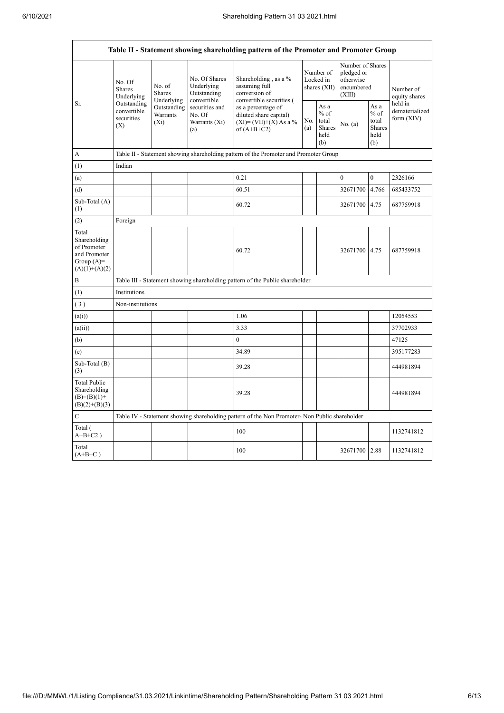r

٦

|                                                                                         |                                                 |                                                                                                                     |                                            | Table II - Statement showing shareholding pattern of the Promoter and Promoter Group                                   |                                        |                                                  |                                                                     |                                                  |                                           |
|-----------------------------------------------------------------------------------------|-------------------------------------------------|---------------------------------------------------------------------------------------------------------------------|--------------------------------------------|------------------------------------------------------------------------------------------------------------------------|----------------------------------------|--------------------------------------------------|---------------------------------------------------------------------|--------------------------------------------------|-------------------------------------------|
| Sr.                                                                                     | No. Of<br><b>Shares</b><br>Underlying           | No. of<br><b>Shares</b>                                                                                             | No. Of Shares<br>Underlying<br>Outstanding | Shareholding, as a %<br>assuming full<br>conversion of                                                                 | Number of<br>Locked in<br>shares (XII) |                                                  | Number of Shares<br>pledged or<br>otherwise<br>encumbered<br>(XIII) |                                                  | Number of<br>equity shares                |
|                                                                                         | Outstanding<br>convertible<br>securities<br>(X) | Underlying<br>convertible<br>Outstanding<br>securities and<br>Warrants<br>No. Of<br>Warrants (Xi)<br>$(X_i)$<br>(a) |                                            | convertible securities (<br>as a percentage of<br>diluted share capital)<br>$(XI) = (VII)+(X) As a %$<br>of $(A+B+C2)$ | No.<br>(a)                             | As a<br>$%$ of<br>total<br>Shares<br>held<br>(b) | No. (a)                                                             | As a<br>$%$ of<br>total<br>Shares<br>held<br>(b) | held in<br>dematerialized<br>form $(XIV)$ |
| А                                                                                       |                                                 |                                                                                                                     |                                            | Table II - Statement showing shareholding pattern of the Promoter and Promoter Group                                   |                                        |                                                  |                                                                     |                                                  |                                           |
| (1)                                                                                     | Indian                                          |                                                                                                                     |                                            |                                                                                                                        |                                        |                                                  |                                                                     |                                                  |                                           |
| (a)                                                                                     |                                                 |                                                                                                                     |                                            | 0.21                                                                                                                   |                                        |                                                  | $\mathbf{0}$                                                        | $\overline{0}$                                   | 2326166                                   |
| (d)                                                                                     |                                                 |                                                                                                                     |                                            | 60.51                                                                                                                  |                                        |                                                  | 32671700                                                            | 4.766                                            | 685433752                                 |
| Sub-Total (A)<br>(1)                                                                    |                                                 |                                                                                                                     |                                            | 60.72                                                                                                                  |                                        |                                                  | 32671700                                                            | 4.75                                             | 687759918                                 |
| (2)                                                                                     | Foreign                                         |                                                                                                                     |                                            |                                                                                                                        |                                        |                                                  |                                                                     |                                                  |                                           |
| Total<br>Shareholding<br>of Promoter<br>and Promoter<br>Group $(A)=$<br>$(A)(1)+(A)(2)$ |                                                 |                                                                                                                     |                                            | 60.72                                                                                                                  |                                        |                                                  | 32671700 4.75                                                       |                                                  | 687759918                                 |
| B                                                                                       |                                                 |                                                                                                                     |                                            | Table III - Statement showing shareholding pattern of the Public shareholder                                           |                                        |                                                  |                                                                     |                                                  |                                           |
| (1)                                                                                     | Institutions                                    |                                                                                                                     |                                            |                                                                                                                        |                                        |                                                  |                                                                     |                                                  |                                           |
| (3)                                                                                     | Non-institutions                                |                                                                                                                     |                                            |                                                                                                                        |                                        |                                                  |                                                                     |                                                  |                                           |
| (a(i))                                                                                  |                                                 |                                                                                                                     |                                            | 1.06                                                                                                                   |                                        |                                                  |                                                                     |                                                  | 12054553                                  |
| (a(ii))                                                                                 |                                                 |                                                                                                                     |                                            | 3.33                                                                                                                   |                                        |                                                  |                                                                     |                                                  | 37702933                                  |
| (b)                                                                                     |                                                 |                                                                                                                     |                                            | $\overline{0}$                                                                                                         |                                        |                                                  |                                                                     |                                                  | 47125                                     |
| (e)                                                                                     |                                                 |                                                                                                                     |                                            | 34.89                                                                                                                  |                                        |                                                  |                                                                     |                                                  | 395177283                                 |
| Sub-Total (B)<br>(3)                                                                    |                                                 |                                                                                                                     |                                            | 39.28                                                                                                                  |                                        |                                                  |                                                                     |                                                  | 444981894                                 |
| <b>Total Public</b><br>Shareholding<br>$(B)=(B)(1)+$<br>$(B)(2)+(B)(3)$                 |                                                 |                                                                                                                     |                                            | 39.28                                                                                                                  |                                        |                                                  |                                                                     |                                                  | 444981894                                 |
| $\mathbf C$                                                                             |                                                 |                                                                                                                     |                                            | Table IV - Statement showing shareholding pattern of the Non Promoter- Non Public shareholder                          |                                        |                                                  |                                                                     |                                                  |                                           |
| Total (<br>$A+B+C2$ )                                                                   |                                                 |                                                                                                                     |                                            | 100                                                                                                                    |                                        |                                                  |                                                                     |                                                  | 1132741812                                |
| Total<br>$(A+B+C)$                                                                      |                                                 |                                                                                                                     |                                            | 100                                                                                                                    |                                        |                                                  | 32671700 2.88                                                       |                                                  | 1132741812                                |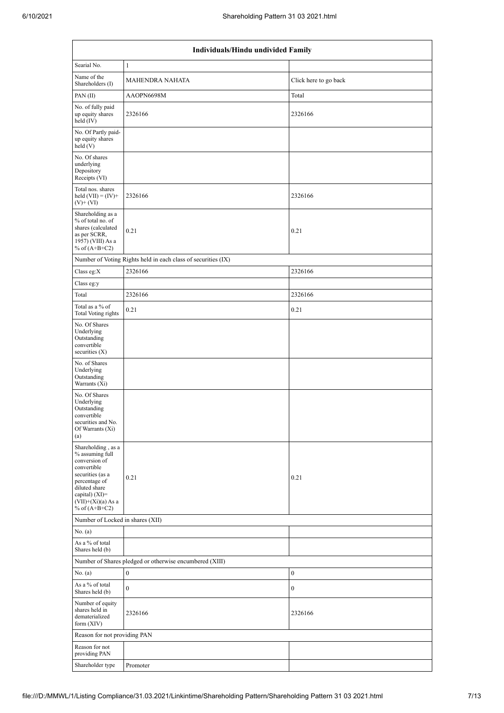|                                                                                                                                                                                          | Individuals/Hindu undivided Family                                                              |                       |  |  |  |  |  |  |
|------------------------------------------------------------------------------------------------------------------------------------------------------------------------------------------|-------------------------------------------------------------------------------------------------|-----------------------|--|--|--|--|--|--|
| Searial No.                                                                                                                                                                              | $\mathbf{1}$                                                                                    |                       |  |  |  |  |  |  |
| Name of the<br>Shareholders (I)                                                                                                                                                          | <b>MAHENDRA NAHATA</b>                                                                          | Click here to go back |  |  |  |  |  |  |
| PAN(II)                                                                                                                                                                                  | AAOPN6698M                                                                                      | Total                 |  |  |  |  |  |  |
| No. of fully paid<br>up equity shares<br>held $(IV)$                                                                                                                                     | 2326166                                                                                         | 2326166               |  |  |  |  |  |  |
| No. Of Partly paid-<br>up equity shares<br>held $(V)$                                                                                                                                    |                                                                                                 |                       |  |  |  |  |  |  |
| No. Of shares<br>underlying<br>Depository<br>Receipts (VI)                                                                                                                               |                                                                                                 |                       |  |  |  |  |  |  |
| Total nos. shares<br>held $(VII) = (IV) +$<br>$(V)$ + $(VI)$                                                                                                                             | 2326166                                                                                         | 2326166               |  |  |  |  |  |  |
| Shareholding as a<br>% of total no. of<br>shares (calculated<br>as per SCRR,<br>1957) (VIII) As a<br>% of $(A+B+C2)$                                                                     | 0.21                                                                                            | 0.21                  |  |  |  |  |  |  |
|                                                                                                                                                                                          | Number of Voting Rights held in each class of securities (IX)                                   |                       |  |  |  |  |  |  |
| Class eg: $X$                                                                                                                                                                            | 2326166                                                                                         | 2326166               |  |  |  |  |  |  |
| Class eg:y                                                                                                                                                                               |                                                                                                 |                       |  |  |  |  |  |  |
| Total                                                                                                                                                                                    | 2326166                                                                                         | 2326166               |  |  |  |  |  |  |
| Total as a % of<br>Total Voting rights                                                                                                                                                   | 0.21                                                                                            | 0.21                  |  |  |  |  |  |  |
| No. Of Shares<br>Underlying<br>Outstanding<br>convertible<br>securities $(X)$                                                                                                            |                                                                                                 |                       |  |  |  |  |  |  |
| No. of Shares<br>Underlying<br>Outstanding<br>Warrants (Xi)                                                                                                                              |                                                                                                 |                       |  |  |  |  |  |  |
| No. Of Shares<br>Underlying<br>Outstanding<br>convertible<br>securities and No.<br>Of Warrants (Xi)<br>(a)                                                                               |                                                                                                 |                       |  |  |  |  |  |  |
| Shareholding, as a<br>% assuming full<br>conversion of<br>convertible<br>securities (as a<br>percentage of<br>diluted share<br>capital) (XI)=<br>$(VII)+(Xi)(a) As a$<br>% of $(A+B+C2)$ | 0.21                                                                                            | 0.21                  |  |  |  |  |  |  |
|                                                                                                                                                                                          | Number of Locked in shares (XII)                                                                |                       |  |  |  |  |  |  |
| No. (a)<br>As a % of total                                                                                                                                                               |                                                                                                 |                       |  |  |  |  |  |  |
|                                                                                                                                                                                          | Shares held (b)                                                                                 |                       |  |  |  |  |  |  |
| No. (a)                                                                                                                                                                                  | Number of Shares pledged or otherwise encumbered (XIII)<br>$\boldsymbol{0}$<br>$\boldsymbol{0}$ |                       |  |  |  |  |  |  |
| As a % of total<br>Shares held (b)                                                                                                                                                       | $\boldsymbol{0}$                                                                                | $\boldsymbol{0}$      |  |  |  |  |  |  |
| Number of equity<br>shares held in<br>dematerialized<br>form $(XIV)$                                                                                                                     | 2326166                                                                                         | 2326166               |  |  |  |  |  |  |
| Reason for not providing PAN                                                                                                                                                             |                                                                                                 |                       |  |  |  |  |  |  |
| Reason for not<br>providing PAN                                                                                                                                                          |                                                                                                 |                       |  |  |  |  |  |  |
| Shareholder type                                                                                                                                                                         | Promoter                                                                                        |                       |  |  |  |  |  |  |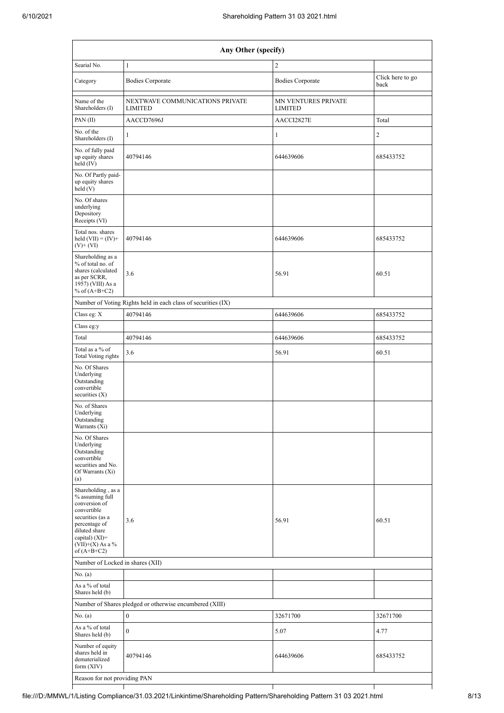| Any Other (specify)                                                                                                                                                                    |                                                               |                                       |                          |  |  |  |  |  |
|----------------------------------------------------------------------------------------------------------------------------------------------------------------------------------------|---------------------------------------------------------------|---------------------------------------|--------------------------|--|--|--|--|--|
| Searial No.                                                                                                                                                                            | $\mathbf{1}$                                                  | $\mathfrak{2}$                        |                          |  |  |  |  |  |
| Category                                                                                                                                                                               | <b>Bodies Corporate</b>                                       | <b>Bodies Corporate</b>               | Click here to go<br>back |  |  |  |  |  |
| Name of the<br>Shareholders (I)                                                                                                                                                        | NEXTWAVE COMMUNICATIONS PRIVATE<br><b>LIMITED</b>             | MN VENTURES PRIVATE<br><b>LIMITED</b> |                          |  |  |  |  |  |
| PAN(II)                                                                                                                                                                                | AACCD7696J                                                    | AACCI2827E                            | Total                    |  |  |  |  |  |
| No. of the<br>Shareholders (I)                                                                                                                                                         | $\mathbf{1}$                                                  | $\mathbf{1}$                          | $\sqrt{2}$               |  |  |  |  |  |
| No. of fully paid<br>up equity shares<br>held (IV)                                                                                                                                     | 40794146                                                      | 644639606                             | 685433752                |  |  |  |  |  |
| No. Of Partly paid-<br>up equity shares<br>held (V)                                                                                                                                    |                                                               |                                       |                          |  |  |  |  |  |
| No. Of shares<br>underlying<br>Depository<br>Receipts (VI)                                                                                                                             |                                                               |                                       |                          |  |  |  |  |  |
| Total nos. shares<br>held $(VII) = (IV) +$<br>$(V)$ + $(VI)$                                                                                                                           | 40794146                                                      | 644639606                             | 685433752                |  |  |  |  |  |
| Shareholding as a<br>% of total no. of<br>shares (calculated<br>as per SCRR,<br>1957) (VIII) As a<br>% of $(A+B+C2)$                                                                   | 3.6                                                           | 56.91                                 | 60.51                    |  |  |  |  |  |
|                                                                                                                                                                                        | Number of Voting Rights held in each class of securities (IX) |                                       |                          |  |  |  |  |  |
| Class eg: X                                                                                                                                                                            | 40794146                                                      | 644639606                             | 685433752                |  |  |  |  |  |
| Class eg:y                                                                                                                                                                             |                                                               |                                       |                          |  |  |  |  |  |
| Total                                                                                                                                                                                  | 40794146                                                      | 644639606                             | 685433752                |  |  |  |  |  |
| Total as a % of<br>Total Voting rights                                                                                                                                                 | 3.6                                                           | 56.91                                 | 60.51                    |  |  |  |  |  |
| No. Of Shares<br>Underlying<br>Outstanding<br>convertible<br>securities $(X)$                                                                                                          |                                                               |                                       |                          |  |  |  |  |  |
| No. of Shares<br>Underlying<br>Outstanding<br>Warrants (Xi)                                                                                                                            |                                                               |                                       |                          |  |  |  |  |  |
| No. Of Shares<br>Underlying<br>Outstanding<br>convertible<br>securities and No.<br>Of Warrants (Xi)<br>(a)                                                                             |                                                               |                                       |                          |  |  |  |  |  |
| Shareholding, as a<br>% assuming full<br>conversion of<br>convertible<br>securities (as a<br>percentage of<br>diluted share<br>capital) $(XI)=$<br>$(VII)+(X)$ As a %<br>of $(A+B+C2)$ | 3.6                                                           | 56.91                                 | 60.51                    |  |  |  |  |  |
|                                                                                                                                                                                        | Number of Locked in shares (XII)                              |                                       |                          |  |  |  |  |  |
| No. (a)                                                                                                                                                                                |                                                               |                                       |                          |  |  |  |  |  |
| As a % of total<br>Shares held (b)                                                                                                                                                     |                                                               |                                       |                          |  |  |  |  |  |
|                                                                                                                                                                                        | Number of Shares pledged or otherwise encumbered (XIII)       |                                       |                          |  |  |  |  |  |
| No. (a)                                                                                                                                                                                | $\boldsymbol{0}$                                              | 32671700                              | 32671700                 |  |  |  |  |  |
| As a % of total<br>Shares held (b)                                                                                                                                                     | $\boldsymbol{0}$                                              | 5.07                                  | 4.77                     |  |  |  |  |  |
| Number of equity<br>shares held in<br>dematerialized<br>form (XIV)                                                                                                                     | 40794146                                                      | 644639606                             | 685433752                |  |  |  |  |  |
| Reason for not providing PAN                                                                                                                                                           |                                                               |                                       |                          |  |  |  |  |  |

┯

 $\top$ 

 $\mathsf{I}$ 

 $\top$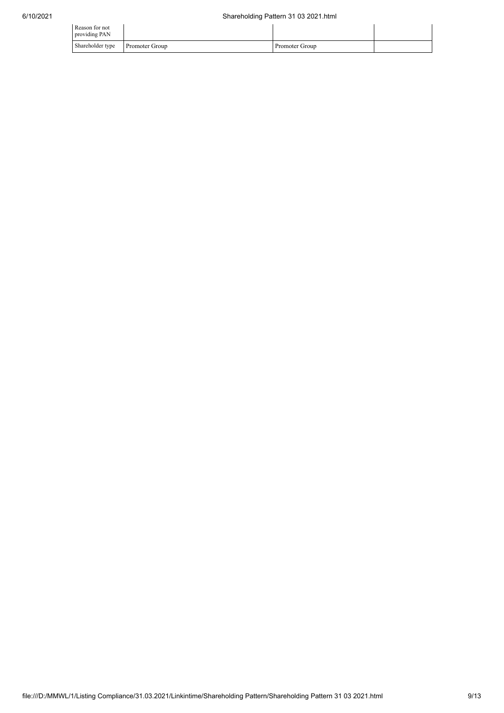| Reason for not<br>providing PAN |                       |                |  |
|---------------------------------|-----------------------|----------------|--|
| Shareholder type                | <b>Promoter Group</b> | Promoter Group |  |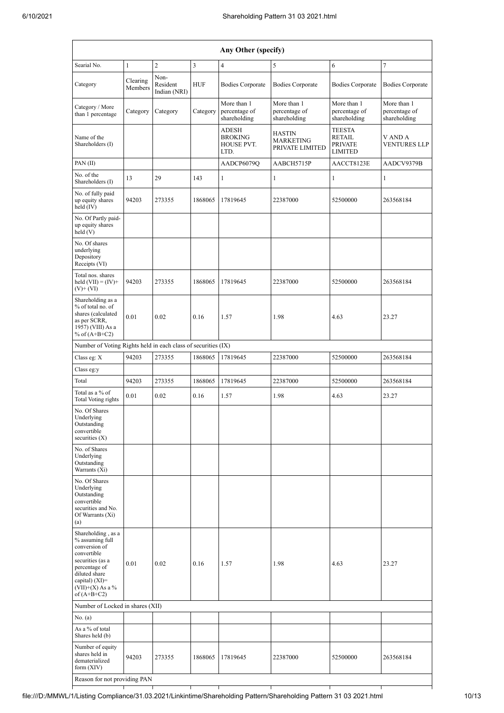| Searial No.<br>$\overline{c}$<br>3<br>$\overline{4}$<br>7<br>$\mathbf{1}$<br>5<br>6<br>Non-<br>Clearing<br>Category<br>Resident<br><b>HUF</b><br><b>Bodies Corporate</b><br><b>Bodies Corporate</b><br><b>Bodies Corporate</b><br>Members<br>Indian (NRI)<br>More than 1<br>More than 1<br>More than 1<br>More than 1<br>Category / More<br>percentage of<br>percentage of<br>percentage of<br>percentage of<br>Category<br>Category<br>Category<br>than 1 percentage<br>shareholding<br>shareholding<br>shareholding<br>shareholding<br><b>TEESTA</b><br><b>ADESH</b><br><b>HASTIN</b><br>Name of the<br><b>BROKING</b><br><b>RETAIL</b><br>V AND A<br><b>MARKETING</b><br>Shareholders (I)<br>HOUSE PVT.<br><b>PRIVATE</b><br>PRIVATE LIMITED<br><b>LIMITED</b><br>LTD.<br>PAN $(II)$<br>AADCP6079Q<br>AABCH5715P<br>AACCT8123E<br>No. of the<br>29<br>143<br>$\mathbf{1}$<br>$\mathbf{1}$<br>13<br>1<br>1<br>Shareholders (I)<br>No. of fully paid<br>up equity shares<br>94203<br>1868065<br>22387000<br>52500000<br>273355<br>17819645<br>263568184<br>$held$ (IV)<br>No. Of Partly paid-<br>up equity shares<br>held(V)<br>No. Of shares<br>underlying<br>Depository<br>Receipts (VI)<br>Total nos. shares<br>94203<br>273355<br>1868065<br>17819645<br>22387000<br>52500000<br>263568184<br>held $(VII) = (IV) +$<br>$(V)$ + $(VI)$<br>Shareholding as a<br>% of total no. of<br>shares (calculated<br>0.01<br>0.02<br>0.16<br>1.57<br>1.98<br>4.63<br>23.27<br>as per SCRR,<br>1957) (VIII) As a<br>% of $(A+B+C2)$<br>Number of Voting Rights held in each class of securities (IX)<br>Class eg: X<br>94203<br>273355<br>1868065<br>17819645<br>22387000<br>52500000<br>263568184<br>Class eg:y<br>94203<br>Total<br>273355<br>1868065<br>17819645<br>22387000<br>52500000<br>263568184<br>Total as a % of<br>0.01<br>0.02<br>0.16<br>1.57<br>1.98<br>4.63<br>23.27<br>Total Voting rights<br>No. Of Shares<br>Underlying<br>Outstanding<br>convertible<br>securities $(X)$<br>No. of Shares<br>Underlying<br>Outstanding<br>Warrants (Xi)<br>No. Of Shares<br>Underlying<br>Outstanding<br>convertible<br>securities and No.<br>Of Warrants (Xi)<br>(a)<br>Shareholding, as a<br>% assuming full<br>conversion of<br>convertible<br>securities (as a<br>0.01<br>0.02<br>0.16<br>1.57<br>1.98<br>4.63<br>23.27<br>percentage of<br>diluted share<br>capital) (XI)=<br>$(VII)+(X)$ As a %<br>of $(A+B+C2)$<br>Number of Locked in shares (XII)<br>No. (a) | Any Other (specify) |  |  |  |  |  |  |                         |
|-------------------------------------------------------------------------------------------------------------------------------------------------------------------------------------------------------------------------------------------------------------------------------------------------------------------------------------------------------------------------------------------------------------------------------------------------------------------------------------------------------------------------------------------------------------------------------------------------------------------------------------------------------------------------------------------------------------------------------------------------------------------------------------------------------------------------------------------------------------------------------------------------------------------------------------------------------------------------------------------------------------------------------------------------------------------------------------------------------------------------------------------------------------------------------------------------------------------------------------------------------------------------------------------------------------------------------------------------------------------------------------------------------------------------------------------------------------------------------------------------------------------------------------------------------------------------------------------------------------------------------------------------------------------------------------------------------------------------------------------------------------------------------------------------------------------------------------------------------------------------------------------------------------------------------------------------------------------------------------------------------------------------------------------------------------------------------------------------------------------------------------------------------------------------------------------------------------------------------------------------------------------------------------------------------------------------------------------------------------------------------------------------------------------------------------------------------------------|---------------------|--|--|--|--|--|--|-------------------------|
|                                                                                                                                                                                                                                                                                                                                                                                                                                                                                                                                                                                                                                                                                                                                                                                                                                                                                                                                                                                                                                                                                                                                                                                                                                                                                                                                                                                                                                                                                                                                                                                                                                                                                                                                                                                                                                                                                                                                                                                                                                                                                                                                                                                                                                                                                                                                                                                                                                                                   |                     |  |  |  |  |  |  |                         |
|                                                                                                                                                                                                                                                                                                                                                                                                                                                                                                                                                                                                                                                                                                                                                                                                                                                                                                                                                                                                                                                                                                                                                                                                                                                                                                                                                                                                                                                                                                                                                                                                                                                                                                                                                                                                                                                                                                                                                                                                                                                                                                                                                                                                                                                                                                                                                                                                                                                                   |                     |  |  |  |  |  |  | <b>Bodies Corporate</b> |
|                                                                                                                                                                                                                                                                                                                                                                                                                                                                                                                                                                                                                                                                                                                                                                                                                                                                                                                                                                                                                                                                                                                                                                                                                                                                                                                                                                                                                                                                                                                                                                                                                                                                                                                                                                                                                                                                                                                                                                                                                                                                                                                                                                                                                                                                                                                                                                                                                                                                   |                     |  |  |  |  |  |  |                         |
|                                                                                                                                                                                                                                                                                                                                                                                                                                                                                                                                                                                                                                                                                                                                                                                                                                                                                                                                                                                                                                                                                                                                                                                                                                                                                                                                                                                                                                                                                                                                                                                                                                                                                                                                                                                                                                                                                                                                                                                                                                                                                                                                                                                                                                                                                                                                                                                                                                                                   |                     |  |  |  |  |  |  | <b>VENTURES LLP</b>     |
|                                                                                                                                                                                                                                                                                                                                                                                                                                                                                                                                                                                                                                                                                                                                                                                                                                                                                                                                                                                                                                                                                                                                                                                                                                                                                                                                                                                                                                                                                                                                                                                                                                                                                                                                                                                                                                                                                                                                                                                                                                                                                                                                                                                                                                                                                                                                                                                                                                                                   |                     |  |  |  |  |  |  | AADCV9379B              |
|                                                                                                                                                                                                                                                                                                                                                                                                                                                                                                                                                                                                                                                                                                                                                                                                                                                                                                                                                                                                                                                                                                                                                                                                                                                                                                                                                                                                                                                                                                                                                                                                                                                                                                                                                                                                                                                                                                                                                                                                                                                                                                                                                                                                                                                                                                                                                                                                                                                                   |                     |  |  |  |  |  |  |                         |
|                                                                                                                                                                                                                                                                                                                                                                                                                                                                                                                                                                                                                                                                                                                                                                                                                                                                                                                                                                                                                                                                                                                                                                                                                                                                                                                                                                                                                                                                                                                                                                                                                                                                                                                                                                                                                                                                                                                                                                                                                                                                                                                                                                                                                                                                                                                                                                                                                                                                   |                     |  |  |  |  |  |  |                         |
|                                                                                                                                                                                                                                                                                                                                                                                                                                                                                                                                                                                                                                                                                                                                                                                                                                                                                                                                                                                                                                                                                                                                                                                                                                                                                                                                                                                                                                                                                                                                                                                                                                                                                                                                                                                                                                                                                                                                                                                                                                                                                                                                                                                                                                                                                                                                                                                                                                                                   |                     |  |  |  |  |  |  |                         |
|                                                                                                                                                                                                                                                                                                                                                                                                                                                                                                                                                                                                                                                                                                                                                                                                                                                                                                                                                                                                                                                                                                                                                                                                                                                                                                                                                                                                                                                                                                                                                                                                                                                                                                                                                                                                                                                                                                                                                                                                                                                                                                                                                                                                                                                                                                                                                                                                                                                                   |                     |  |  |  |  |  |  |                         |
|                                                                                                                                                                                                                                                                                                                                                                                                                                                                                                                                                                                                                                                                                                                                                                                                                                                                                                                                                                                                                                                                                                                                                                                                                                                                                                                                                                                                                                                                                                                                                                                                                                                                                                                                                                                                                                                                                                                                                                                                                                                                                                                                                                                                                                                                                                                                                                                                                                                                   |                     |  |  |  |  |  |  |                         |
|                                                                                                                                                                                                                                                                                                                                                                                                                                                                                                                                                                                                                                                                                                                                                                                                                                                                                                                                                                                                                                                                                                                                                                                                                                                                                                                                                                                                                                                                                                                                                                                                                                                                                                                                                                                                                                                                                                                                                                                                                                                                                                                                                                                                                                                                                                                                                                                                                                                                   |                     |  |  |  |  |  |  |                         |
|                                                                                                                                                                                                                                                                                                                                                                                                                                                                                                                                                                                                                                                                                                                                                                                                                                                                                                                                                                                                                                                                                                                                                                                                                                                                                                                                                                                                                                                                                                                                                                                                                                                                                                                                                                                                                                                                                                                                                                                                                                                                                                                                                                                                                                                                                                                                                                                                                                                                   |                     |  |  |  |  |  |  |                         |
|                                                                                                                                                                                                                                                                                                                                                                                                                                                                                                                                                                                                                                                                                                                                                                                                                                                                                                                                                                                                                                                                                                                                                                                                                                                                                                                                                                                                                                                                                                                                                                                                                                                                                                                                                                                                                                                                                                                                                                                                                                                                                                                                                                                                                                                                                                                                                                                                                                                                   |                     |  |  |  |  |  |  |                         |
|                                                                                                                                                                                                                                                                                                                                                                                                                                                                                                                                                                                                                                                                                                                                                                                                                                                                                                                                                                                                                                                                                                                                                                                                                                                                                                                                                                                                                                                                                                                                                                                                                                                                                                                                                                                                                                                                                                                                                                                                                                                                                                                                                                                                                                                                                                                                                                                                                                                                   |                     |  |  |  |  |  |  |                         |
|                                                                                                                                                                                                                                                                                                                                                                                                                                                                                                                                                                                                                                                                                                                                                                                                                                                                                                                                                                                                                                                                                                                                                                                                                                                                                                                                                                                                                                                                                                                                                                                                                                                                                                                                                                                                                                                                                                                                                                                                                                                                                                                                                                                                                                                                                                                                                                                                                                                                   |                     |  |  |  |  |  |  |                         |
|                                                                                                                                                                                                                                                                                                                                                                                                                                                                                                                                                                                                                                                                                                                                                                                                                                                                                                                                                                                                                                                                                                                                                                                                                                                                                                                                                                                                                                                                                                                                                                                                                                                                                                                                                                                                                                                                                                                                                                                                                                                                                                                                                                                                                                                                                                                                                                                                                                                                   |                     |  |  |  |  |  |  |                         |
|                                                                                                                                                                                                                                                                                                                                                                                                                                                                                                                                                                                                                                                                                                                                                                                                                                                                                                                                                                                                                                                                                                                                                                                                                                                                                                                                                                                                                                                                                                                                                                                                                                                                                                                                                                                                                                                                                                                                                                                                                                                                                                                                                                                                                                                                                                                                                                                                                                                                   |                     |  |  |  |  |  |  |                         |
|                                                                                                                                                                                                                                                                                                                                                                                                                                                                                                                                                                                                                                                                                                                                                                                                                                                                                                                                                                                                                                                                                                                                                                                                                                                                                                                                                                                                                                                                                                                                                                                                                                                                                                                                                                                                                                                                                                                                                                                                                                                                                                                                                                                                                                                                                                                                                                                                                                                                   |                     |  |  |  |  |  |  |                         |
|                                                                                                                                                                                                                                                                                                                                                                                                                                                                                                                                                                                                                                                                                                                                                                                                                                                                                                                                                                                                                                                                                                                                                                                                                                                                                                                                                                                                                                                                                                                                                                                                                                                                                                                                                                                                                                                                                                                                                                                                                                                                                                                                                                                                                                                                                                                                                                                                                                                                   |                     |  |  |  |  |  |  |                         |
|                                                                                                                                                                                                                                                                                                                                                                                                                                                                                                                                                                                                                                                                                                                                                                                                                                                                                                                                                                                                                                                                                                                                                                                                                                                                                                                                                                                                                                                                                                                                                                                                                                                                                                                                                                                                                                                                                                                                                                                                                                                                                                                                                                                                                                                                                                                                                                                                                                                                   |                     |  |  |  |  |  |  |                         |
|                                                                                                                                                                                                                                                                                                                                                                                                                                                                                                                                                                                                                                                                                                                                                                                                                                                                                                                                                                                                                                                                                                                                                                                                                                                                                                                                                                                                                                                                                                                                                                                                                                                                                                                                                                                                                                                                                                                                                                                                                                                                                                                                                                                                                                                                                                                                                                                                                                                                   |                     |  |  |  |  |  |  |                         |
|                                                                                                                                                                                                                                                                                                                                                                                                                                                                                                                                                                                                                                                                                                                                                                                                                                                                                                                                                                                                                                                                                                                                                                                                                                                                                                                                                                                                                                                                                                                                                                                                                                                                                                                                                                                                                                                                                                                                                                                                                                                                                                                                                                                                                                                                                                                                                                                                                                                                   |                     |  |  |  |  |  |  |                         |
| Shares held (b)                                                                                                                                                                                                                                                                                                                                                                                                                                                                                                                                                                                                                                                                                                                                                                                                                                                                                                                                                                                                                                                                                                                                                                                                                                                                                                                                                                                                                                                                                                                                                                                                                                                                                                                                                                                                                                                                                                                                                                                                                                                                                                                                                                                                                                                                                                                                                                                                                                                   | As a % of total     |  |  |  |  |  |  |                         |
| Number of equity<br>shares held in<br>94203<br>273355<br>1868065<br>17819645<br>22387000<br>52500000<br>263568184<br>dematerialized<br>form $(XIV)$<br>Reason for not providing PAN                                                                                                                                                                                                                                                                                                                                                                                                                                                                                                                                                                                                                                                                                                                                                                                                                                                                                                                                                                                                                                                                                                                                                                                                                                                                                                                                                                                                                                                                                                                                                                                                                                                                                                                                                                                                                                                                                                                                                                                                                                                                                                                                                                                                                                                                               |                     |  |  |  |  |  |  |                         |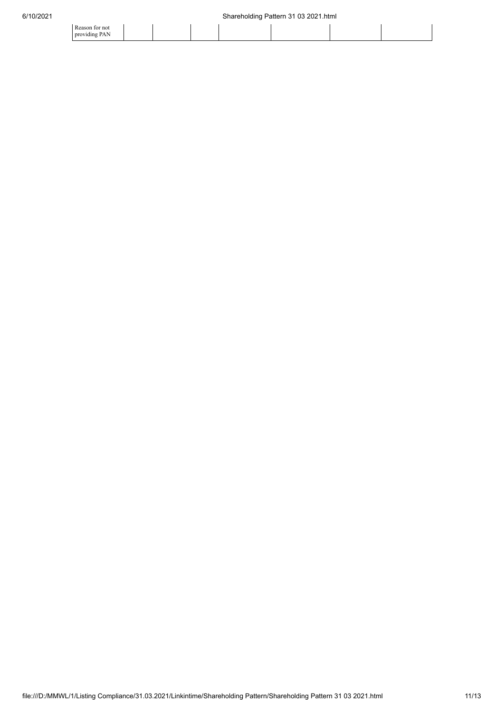| tor not<br>Reason |  |  |  |  |
|-------------------|--|--|--|--|
| providing PAN     |  |  |  |  |